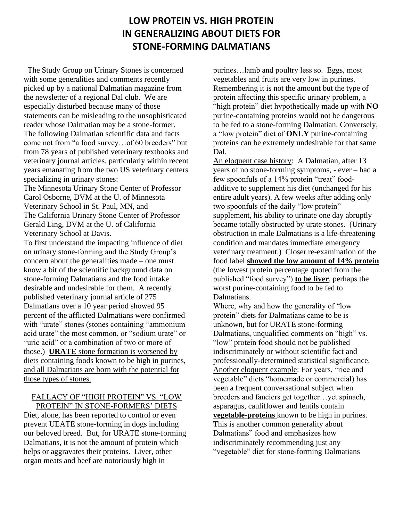# **LOW PROTEIN VS. HIGH PROTEIN IN GENERALIZING ABOUT DIETS FOR STONE-FORMING DALMATIANS**

 The Study Group on Urinary Stones is concerned with some generalities and comments recently picked up by a national Dalmatian magazine from the newsletter of a regional Dal club. We are especially disturbed because many of those statements can be misleading to the unsophisticated reader whose Dalmatian may be a stone-former. The following Dalmatian scientific data and facts come not from "a food survey…of 60 breeders" but from 78 years of published veterinary textbooks and veterinary journal articles, particularly within recent years emanating from the two US veterinary centers specializing in urinary stones:

The Minnesota Urinary Stone Center of Professor Carol Osborne, DVM at the U. of Minnesota Veterinary School in St. Paul, MN, and The California Urinary Stone Center of Professor Gerald Ling, DVM at the U. of California Veterinary School at Davis.

To first understand the impacting influence of diet on urinary stone-forming and the Study Group's concern about the generalities made – one must know a bit of the scientific background data on stone-forming Dalmatians and the food intake desirable and undesirable for them. A recently published veterinary journal article of 275 Dalmatians over a 10 year period showed 95 percent of the afflicted Dalmatians were confirmed with "urate" stones (stones containing "ammonium acid urate" the most common, or "sodium urate" or "uric acid" or a combination of two or more of those.) **URATE** stone formation is worsened by diets containing foods known to be high in purines, and all Dalmatians are born with the potential for those types of stones.

## FALLACY OF "HIGH PROTEIN" VS. "LOW PROTEIN" IN STONE-FORMERS' DIETS

Diet, alone, has been reported to control or even prevent UEATE stone-forming in dogs including our beloved breed. But, for URATE stone-forming Dalmatians, it is not the amount of protein which helps or aggravates their proteins. Liver, other organ meats and beef are notoriously high in

purines…lamb and poultry less so. Eggs, most vegetables and fruits are very low in purines. Remembering it is not the amount but the type of protein affecting this specific urinary problem, a "high protein" diet hypothetically made up with **NO** purine-containing proteins would not be dangerous to be fed to a stone-forming Dalmatian. Conversely, a "low protein" diet of **ONLY** purine-containing proteins can be extremely undesirable for that same Dal.

An eloquent case history: A Dalmatian, after 13 years of no stone-forming symptoms, - ever – had a few spoonfuls of a 14% protein "treat" foodadditive to supplement his diet (unchanged for his entire adult years). A few weeks after adding only two spoonfuls of the daily "low protein" supplement, his ability to urinate one day abruptly became totally obstructed by urate stones. (Urinary obstruction in male Dalmatians is a life-threatening condition and mandates immediate emergency veterinary treatment.) Closer re-examination of the food label **showed the low amount of 14% protein** (the lowest protein percentage quoted from the published "food survey") **to be liver**, perhaps the worst purine-containing food to be fed to Dalmatians.

Where, why and how the generality of "low protein" diets for Dalmatians came to be is unknown, but for URATE stone-forming Dalmatians, unqualified comments on "high" vs. "low" protein food should not be published indiscriminately or without scientific fact and professionally-determined statistical significance. Another eloquent example: For years, "rice and vegetable" diets "homemade or commercial) has been a frequent conversational subject when breeders and fanciers get together…yet spinach, asparagus, cauliflower and lentils contain **vegetable-proteins** known to be high in purines. This is another common generality about Dalmatians" food and emphasizes how indiscriminately recommending just any "vegetable" diet for stone-forming Dalmatians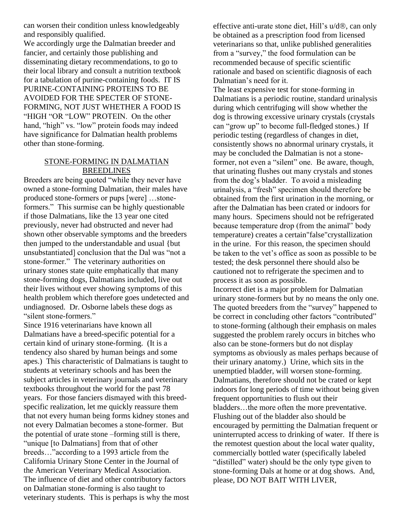can worsen their condition unless knowledgeably and responsibly qualified.

We accordingly urge the Dalmatian breeder and fancier, and certainly those publishing and disseminating dietary recommendations, to go to their local library and consult a nutrition textbook for a tabulation of purine-containing foods. IT IS PURINE-CONTAINING PROTEINS TO BE AVOIDED FOR THE SPECTER OF STONE-FORMING, NOT JUST WHETHER A FOOD IS "HIGH "OR "LOW" PROTEIN. On the other hand, "high" vs. "low" protein foods may indeed have significance for Dalmatian health problems other than stone-forming.

## STONE-FORMING IN DALMATIAN **BREEDLINES**

Breeders are being quoted "while they never have owned a stone-forming Dalmatian, their males have produced stone-formers or pups [were] …stoneformers." This surmise can be highly questionable if those Dalmatians, like the 13 year one cited previously, never had obstructed and never had shown other observable symptoms and the breeders then jumped to the understandable and usual {but unsubstantiated] conclusion that the Dal was "not a stone-former." The veterinary authorities on urinary stones state quite emphatically that many stone-forming dogs, Dalmatians included, live out their lives without ever showing symptoms of this health problem which therefore goes undetected and undiagnosed. Dr. Osborne labels these dogs as "silent stone-formers."

Since 1916 veterinarians have known all Dalmatians have a breed-specific potential for a certain kind of urinary stone-forming. (It is a tendency also shared by human beings and some apes.) This characteristic of Dalmatians is taught to students at veterinary schools and has been the subject articles in veterinary journals and veterinary textbooks throughout the world for the past 78 years. For those fanciers dismayed with this breedspecific realization, let me quickly reassure them that not every human being forms kidney stones and not every Dalmatian becomes a stone-former. But the potential of urate stone –forming still is there, "unique [to Dalmatians] from that of other breeds…"according to a 1993 article from the California Urinary Stone Center in the Journal of the American Veterinary Medical Association. The influence of diet and other contributory factors on Dalmatian stone-forming is also taught to veterinary students. This is perhaps is why the most

effective anti-urate stone diet, Hill's  $u/d\mathbb{B}$ , can only be obtained as a prescription food from licensed veterinarians so that, unlike published generalities from a "survey," the food formulation can be recommended because of specific scientific rationale and based on scientific diagnosis of each Dalmatian's need for it.

The least expensive test for stone-forming in Dalmatians is a periodic routine, standard urinalysis during which centrifuging will show whether the dog is throwing excessive urinary crystals (crystals can "grow up" to become full-fledged stones.) If periodic testing (regardless of changes in diet, consistently shows no abnormal urinary crystals, it may be concluded the Dalmatian is not a stoneformer, not even a "silent" one. Be aware, though, that urinating flushes out many crystals and stones from the dog's bladder. To avoid a misleading urinalysis, a "fresh" specimen should therefore be obtained from the first urination in the morning, or after the Dalmatian has been crated or indoors for many hours. Specimens should not be refrigerated because temperature drop (from the animal'' body temperature) creates a certain"false"crystallization in the urine. For this reason, the specimen should be taken to the vet's office as soon as possible to be tested; the desk personnel there should also be cautioned not to refrigerate the specimen and to process it as soon as possible.

Incorrect diet is a major problem for Dalmatian urinary stone-formers but by no means the only one. The quoted breeders from the "survey" happened to be correct in concluding other factors "contributed" to stone-forming (although their emphasis on males suggested the problem rarely occurs in bitches who also can be stone-formers but do not display symptoms as obviously as males perhaps because of their urinary anatomy.) Urine, which sits in the unemptied bladder, will worsen stone-forming. Dalmatians, therefore should not be crated or kept indoors for long periods of time without being given frequent opportunities to flush out their bladders…the more often the more preventative. Flushing out of the bladder also should be encouraged by permitting the Dalmatian frequent or uninterrupted access to drinking of water. If there is the remotest question about the local water quality, commercially bottled water (specifically labeled "distilled" water) should be the only type given to stone-forming Dals at home or at dog shows. And, please, DO NOT BAIT WITH LIVER,